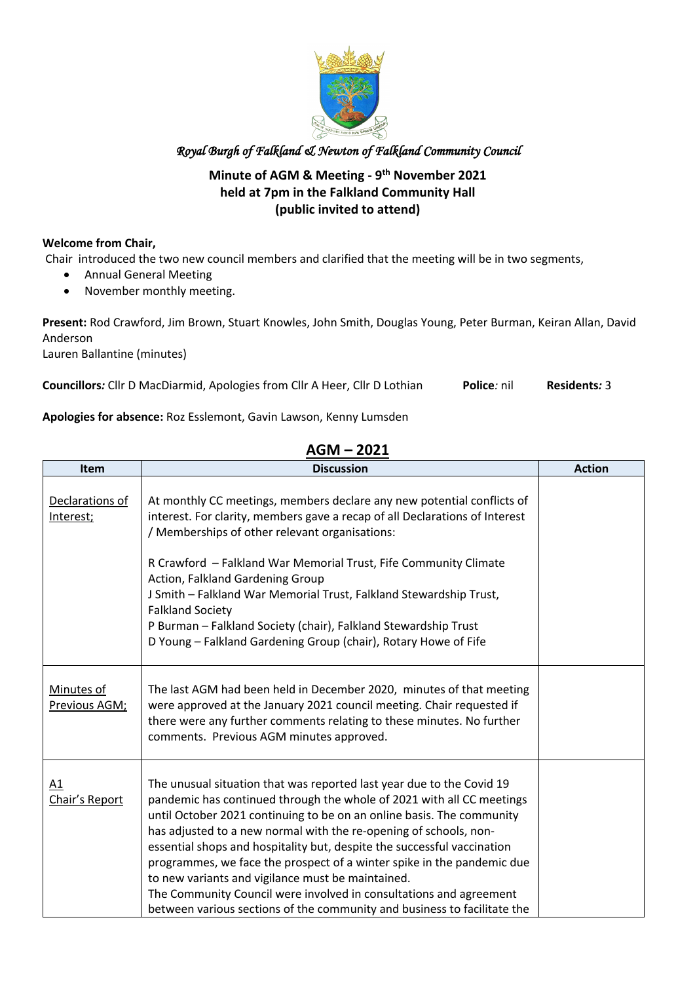

#### **Minute of AGM & Meeting - 9th November 2021 held at 7pm in the Falkland Community Hall (public invited to attend)**

#### **Welcome from Chair,**

Chair introduced the two new council members and clarified that the meeting will be in two segments,

- Annual General Meeting
- November monthly meeting.

**Present:** Rod Crawford, Jim Brown, Stuart Knowles, John Smith, Douglas Young, Peter Burman, Keiran Allan, David Anderson

Lauren Ballantine (minutes)

**Councillors***:* Cllr D MacDiarmid, Apologies from Cllr A Heer, Cllr D Lothian **Police***:* nil **Residents***:* 3

#### **Apologies for absence:** Roz Esslemont, Gavin Lawson, Kenny Lumsden

| <b>Item</b>                  | <b>Discussion</b>                                                                                                                                                                                                                                                                                                                                                                                                                                                                                                                                                                                                                                        | <b>Action</b> |
|------------------------------|----------------------------------------------------------------------------------------------------------------------------------------------------------------------------------------------------------------------------------------------------------------------------------------------------------------------------------------------------------------------------------------------------------------------------------------------------------------------------------------------------------------------------------------------------------------------------------------------------------------------------------------------------------|---------------|
| Declarations of<br>Interest; | At monthly CC meetings, members declare any new potential conflicts of<br>interest. For clarity, members gave a recap of all Declarations of Interest<br>/ Memberships of other relevant organisations:                                                                                                                                                                                                                                                                                                                                                                                                                                                  |               |
|                              | R Crawford - Falkland War Memorial Trust, Fife Community Climate<br>Action, Falkland Gardening Group<br>J Smith - Falkland War Memorial Trust, Falkland Stewardship Trust,<br><b>Falkland Society</b><br>P Burman - Falkland Society (chair), Falkland Stewardship Trust<br>D Young - Falkland Gardening Group (chair), Rotary Howe of Fife                                                                                                                                                                                                                                                                                                              |               |
| Minutes of<br>Previous AGM;  | The last AGM had been held in December 2020, minutes of that meeting<br>were approved at the January 2021 council meeting. Chair requested if<br>there were any further comments relating to these minutes. No further<br>comments. Previous AGM minutes approved.                                                                                                                                                                                                                                                                                                                                                                                       |               |
| A1<br>Chair's Report         | The unusual situation that was reported last year due to the Covid 19<br>pandemic has continued through the whole of 2021 with all CC meetings<br>until October 2021 continuing to be on an online basis. The community<br>has adjusted to a new normal with the re-opening of schools, non-<br>essential shops and hospitality but, despite the successful vaccination<br>programmes, we face the prospect of a winter spike in the pandemic due<br>to new variants and vigilance must be maintained.<br>The Community Council were involved in consultations and agreement<br>between various sections of the community and business to facilitate the |               |

#### **AGM – 2021**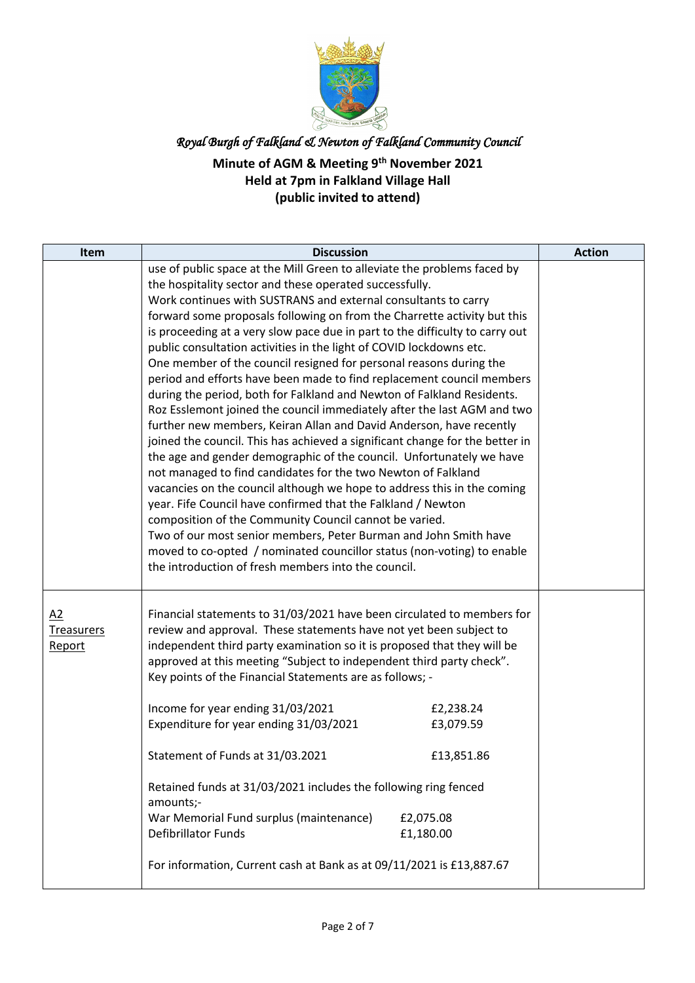

| <b>Item</b>                       | <b>Discussion</b>                                                                                                                                                                                                                                                                                                                                                                                                                                                                                                                                                                                                                                                                                                                                                                                                                                                                                                                                                                                                                                                                                                                                                                                                                                                                                                                                                                                                                                      |                                                                | <b>Action</b> |
|-----------------------------------|--------------------------------------------------------------------------------------------------------------------------------------------------------------------------------------------------------------------------------------------------------------------------------------------------------------------------------------------------------------------------------------------------------------------------------------------------------------------------------------------------------------------------------------------------------------------------------------------------------------------------------------------------------------------------------------------------------------------------------------------------------------------------------------------------------------------------------------------------------------------------------------------------------------------------------------------------------------------------------------------------------------------------------------------------------------------------------------------------------------------------------------------------------------------------------------------------------------------------------------------------------------------------------------------------------------------------------------------------------------------------------------------------------------------------------------------------------|----------------------------------------------------------------|---------------|
|                                   | use of public space at the Mill Green to alleviate the problems faced by<br>the hospitality sector and these operated successfully.<br>Work continues with SUSTRANS and external consultants to carry<br>forward some proposals following on from the Charrette activity but this<br>is proceeding at a very slow pace due in part to the difficulty to carry out<br>public consultation activities in the light of COVID lockdowns etc.<br>One member of the council resigned for personal reasons during the<br>period and efforts have been made to find replacement council members<br>during the period, both for Falkland and Newton of Falkland Residents.<br>Roz Esslemont joined the council immediately after the last AGM and two<br>further new members, Keiran Allan and David Anderson, have recently<br>joined the council. This has achieved a significant change for the better in<br>the age and gender demographic of the council. Unfortunately we have<br>not managed to find candidates for the two Newton of Falkland<br>vacancies on the council although we hope to address this in the coming<br>year. Fife Council have confirmed that the Falkland / Newton<br>composition of the Community Council cannot be varied.<br>Two of our most senior members, Peter Burman and John Smith have<br>moved to co-opted / nominated councillor status (non-voting) to enable<br>the introduction of fresh members into the council. |                                                                |               |
| A2<br><b>Treasurers</b><br>Report | Financial statements to 31/03/2021 have been circulated to members for<br>review and approval. These statements have not yet been subject to<br>independent third party examination so it is proposed that they will be<br>approved at this meeting "Subject to independent third party check".<br>Key points of the Financial Statements are as follows; -<br>Income for year ending 31/03/2021<br>Expenditure for year ending 31/03/2021<br>Statement of Funds at 31/03.2021<br>Retained funds at 31/03/2021 includes the following ring fenced<br>amounts;-<br>War Memorial Fund surplus (maintenance)<br><b>Defibrillator Funds</b><br>For information, Current cash at Bank as at 09/11/2021 is £13,887.67                                                                                                                                                                                                                                                                                                                                                                                                                                                                                                                                                                                                                                                                                                                                        | £2,238.24<br>£3,079.59<br>£13,851.86<br>£2,075.08<br>£1,180.00 |               |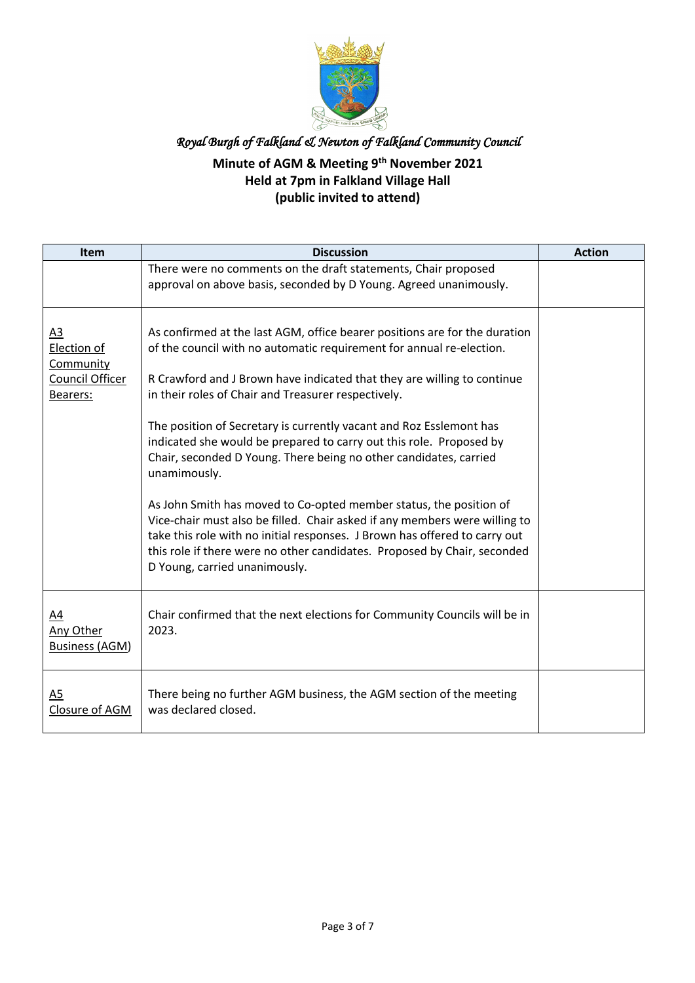

| Item                                                                      | <b>Discussion</b>                                                                                                                                                                                                                                                                                                                                                                                                                                                                                                                                                                                                                                                           | <b>Action</b> |
|---------------------------------------------------------------------------|-----------------------------------------------------------------------------------------------------------------------------------------------------------------------------------------------------------------------------------------------------------------------------------------------------------------------------------------------------------------------------------------------------------------------------------------------------------------------------------------------------------------------------------------------------------------------------------------------------------------------------------------------------------------------------|---------------|
|                                                                           | There were no comments on the draft statements, Chair proposed<br>approval on above basis, seconded by D Young. Agreed unanimously.                                                                                                                                                                                                                                                                                                                                                                                                                                                                                                                                         |               |
| A <sub>3</sub><br>Election of<br>Community<br>Council Officer<br>Bearers: | As confirmed at the last AGM, office bearer positions are for the duration<br>of the council with no automatic requirement for annual re-election.<br>R Crawford and J Brown have indicated that they are willing to continue<br>in their roles of Chair and Treasurer respectively.<br>The position of Secretary is currently vacant and Roz Esslemont has<br>indicated she would be prepared to carry out this role. Proposed by<br>Chair, seconded D Young. There being no other candidates, carried<br>unamimously.<br>As John Smith has moved to Co-opted member status, the position of<br>Vice-chair must also be filled. Chair asked if any members were willing to |               |
|                                                                           | take this role with no initial responses. J Brown has offered to carry out<br>this role if there were no other candidates. Proposed by Chair, seconded<br>D Young, carried unanimously.                                                                                                                                                                                                                                                                                                                                                                                                                                                                                     |               |
| $\underline{A4}$<br><b>Any Other</b><br><b>Business (AGM)</b>             | Chair confirmed that the next elections for Community Councils will be in<br>2023.                                                                                                                                                                                                                                                                                                                                                                                                                                                                                                                                                                                          |               |
| A5<br>Closure of AGM                                                      | There being no further AGM business, the AGM section of the meeting<br>was declared closed.                                                                                                                                                                                                                                                                                                                                                                                                                                                                                                                                                                                 |               |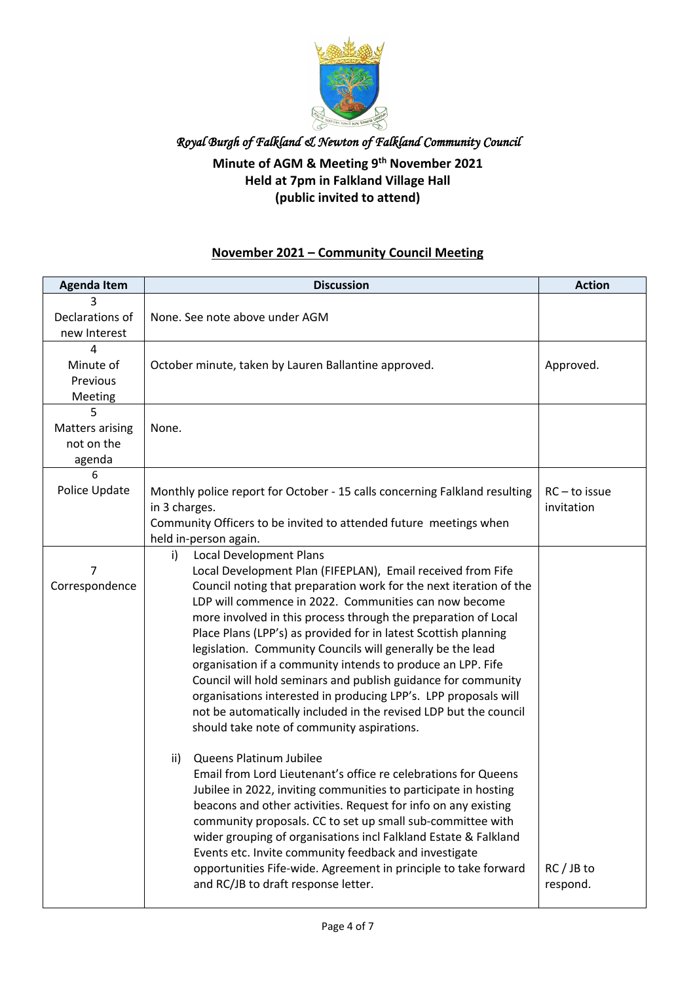

#### **Minute of AGM & Meeting 9th November 2021 Held at 7pm in Falkland Village Hall (public invited to attend)**

#### **November 2021 – Community Council Meeting**

| <b>Agenda Item</b>                           | <b>Discussion</b>                                                                                                                                                                                                                                                                                                                                                                                                                                                                                                                                                                                                                                                                                                                                                                                                                                                                                                                                                                                                                                                                                                                                                                                                                                                                                                 | <b>Action</b>                 |
|----------------------------------------------|-------------------------------------------------------------------------------------------------------------------------------------------------------------------------------------------------------------------------------------------------------------------------------------------------------------------------------------------------------------------------------------------------------------------------------------------------------------------------------------------------------------------------------------------------------------------------------------------------------------------------------------------------------------------------------------------------------------------------------------------------------------------------------------------------------------------------------------------------------------------------------------------------------------------------------------------------------------------------------------------------------------------------------------------------------------------------------------------------------------------------------------------------------------------------------------------------------------------------------------------------------------------------------------------------------------------|-------------------------------|
| 3<br>Declarations of<br>new Interest         | None. See note above under AGM                                                                                                                                                                                                                                                                                                                                                                                                                                                                                                                                                                                                                                                                                                                                                                                                                                                                                                                                                                                                                                                                                                                                                                                                                                                                                    |                               |
| 4<br>Minute of<br>Previous<br>Meeting        | October minute, taken by Lauren Ballantine approved.                                                                                                                                                                                                                                                                                                                                                                                                                                                                                                                                                                                                                                                                                                                                                                                                                                                                                                                                                                                                                                                                                                                                                                                                                                                              | Approved.                     |
| 5<br>Matters arising<br>not on the<br>agenda | None.                                                                                                                                                                                                                                                                                                                                                                                                                                                                                                                                                                                                                                                                                                                                                                                                                                                                                                                                                                                                                                                                                                                                                                                                                                                                                                             |                               |
| 6<br>Police Update                           | Monthly police report for October - 15 calls concerning Falkland resulting<br>in 3 charges.<br>Community Officers to be invited to attended future meetings when<br>held in-person again.                                                                                                                                                                                                                                                                                                                                                                                                                                                                                                                                                                                                                                                                                                                                                                                                                                                                                                                                                                                                                                                                                                                         | $RC - to issue$<br>invitation |
| 7<br>Correspondence                          | <b>Local Development Plans</b><br>i)<br>Local Development Plan (FIFEPLAN), Email received from Fife<br>Council noting that preparation work for the next iteration of the<br>LDP will commence in 2022. Communities can now become<br>more involved in this process through the preparation of Local<br>Place Plans (LPP's) as provided for in latest Scottish planning<br>legislation. Community Councils will generally be the lead<br>organisation if a community intends to produce an LPP. Fife<br>Council will hold seminars and publish guidance for community<br>organisations interested in producing LPP's. LPP proposals will<br>not be automatically included in the revised LDP but the council<br>should take note of community aspirations.<br>Queens Platinum Jubilee<br>$\mathsf{ii}$<br>Email from Lord Lieutenant's office re celebrations for Queens<br>Jubilee in 2022, inviting communities to participate in hosting<br>beacons and other activities. Request for info on any existing<br>community proposals. CC to set up small sub-committee with<br>wider grouping of organisations incl Falkland Estate & Falkland<br>Events etc. Invite community feedback and investigate<br>opportunities Fife-wide. Agreement in principle to take forward<br>and RC/JB to draft response letter. | $RC / JB$ to<br>respond.      |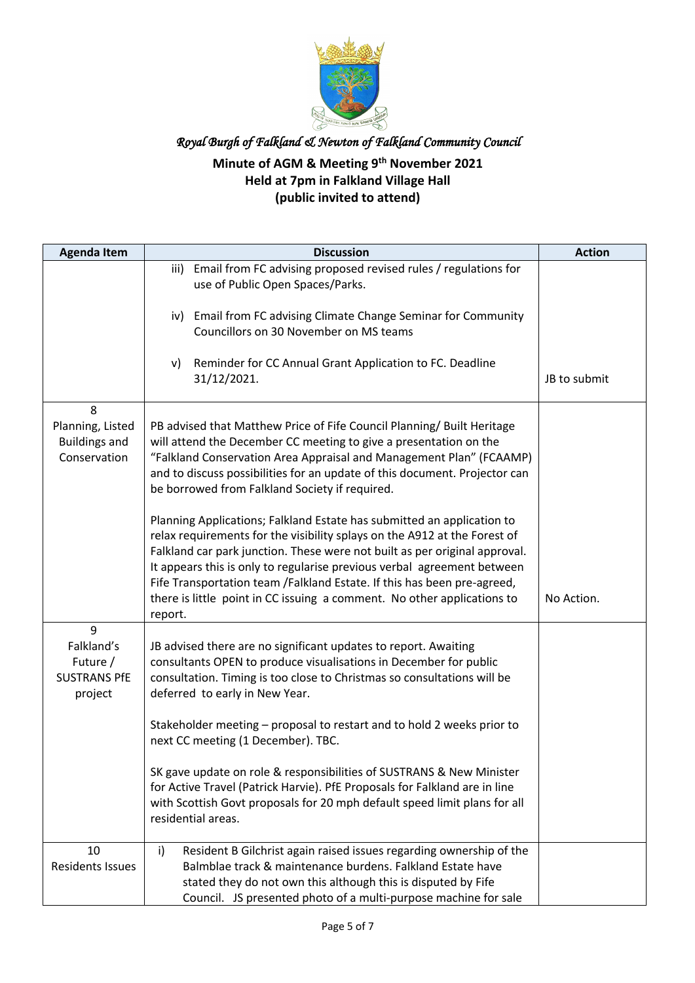

| <b>Agenda Item</b>                                            | <b>Discussion</b>                                                                                                                                                                                                                                                                                                                                                                                                                                                                                                                                                                                                                                                                                                                                                                                                                   | <b>Action</b> |
|---------------------------------------------------------------|-------------------------------------------------------------------------------------------------------------------------------------------------------------------------------------------------------------------------------------------------------------------------------------------------------------------------------------------------------------------------------------------------------------------------------------------------------------------------------------------------------------------------------------------------------------------------------------------------------------------------------------------------------------------------------------------------------------------------------------------------------------------------------------------------------------------------------------|---------------|
|                                                               | Email from FC advising proposed revised rules / regulations for<br>iii)<br>use of Public Open Spaces/Parks.                                                                                                                                                                                                                                                                                                                                                                                                                                                                                                                                                                                                                                                                                                                         |               |
|                                                               | iv) Email from FC advising Climate Change Seminar for Community<br>Councillors on 30 November on MS teams                                                                                                                                                                                                                                                                                                                                                                                                                                                                                                                                                                                                                                                                                                                           |               |
|                                                               | Reminder for CC Annual Grant Application to FC. Deadline<br>v)<br>31/12/2021.                                                                                                                                                                                                                                                                                                                                                                                                                                                                                                                                                                                                                                                                                                                                                       | JB to submit  |
| 8<br>Planning, Listed<br><b>Buildings and</b><br>Conservation | PB advised that Matthew Price of Fife Council Planning/ Built Heritage<br>will attend the December CC meeting to give a presentation on the<br>"Falkland Conservation Area Appraisal and Management Plan" (FCAAMP)<br>and to discuss possibilities for an update of this document. Projector can<br>be borrowed from Falkland Society if required.<br>Planning Applications; Falkland Estate has submitted an application to<br>relax requirements for the visibility splays on the A912 at the Forest of<br>Falkland car park junction. These were not built as per original approval.<br>It appears this is only to regularise previous verbal agreement between<br>Fife Transportation team /Falkland Estate. If this has been pre-agreed,<br>there is little point in CC issuing a comment. No other applications to<br>report. | No Action.    |
| 9<br>Falkland's<br>Future /<br><b>SUSTRANS PfE</b><br>project | JB advised there are no significant updates to report. Awaiting<br>consultants OPEN to produce visualisations in December for public<br>consultation. Timing is too close to Christmas so consultations will be<br>deferred to early in New Year.<br>Stakeholder meeting - proposal to restart and to hold 2 weeks prior to<br>next CC meeting (1 December). TBC.<br>SK gave update on role & responsibilities of SUSTRANS & New Minister<br>for Active Travel (Patrick Harvie). PfE Proposals for Falkland are in line<br>with Scottish Govt proposals for 20 mph default speed limit plans for all<br>residential areas.                                                                                                                                                                                                          |               |
| 10<br><b>Residents Issues</b>                                 | Resident B Gilchrist again raised issues regarding ownership of the<br>$\mathsf{i}$<br>Balmblae track & maintenance burdens. Falkland Estate have<br>stated they do not own this although this is disputed by Fife<br>Council. JS presented photo of a multi-purpose machine for sale                                                                                                                                                                                                                                                                                                                                                                                                                                                                                                                                               |               |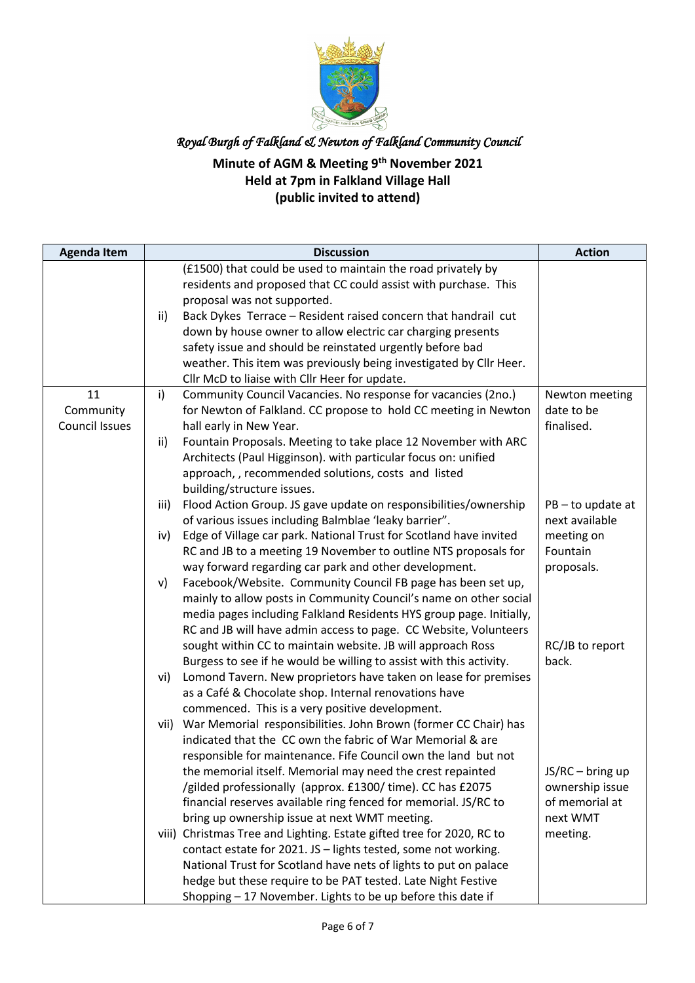

| <b>Agenda Item</b>    |              | <b>Discussion</b>                                                                                                     | <b>Action</b>          |
|-----------------------|--------------|-----------------------------------------------------------------------------------------------------------------------|------------------------|
|                       |              | (£1500) that could be used to maintain the road privately by                                                          |                        |
|                       |              | residents and proposed that CC could assist with purchase. This                                                       |                        |
|                       |              | proposal was not supported.                                                                                           |                        |
|                       | ii)          | Back Dykes Terrace - Resident raised concern that handrail cut                                                        |                        |
|                       |              | down by house owner to allow electric car charging presents                                                           |                        |
|                       |              | safety issue and should be reinstated urgently before bad                                                             |                        |
|                       |              | weather. This item was previously being investigated by Cllr Heer.                                                    |                        |
|                       |              | Cllr McD to liaise with Cllr Heer for update.                                                                         |                        |
| 11                    | $\mathsf{i}$ | Community Council Vacancies. No response for vacancies (2no.)                                                         | Newton meeting         |
| Community             |              | for Newton of Falkland. CC propose to hold CC meeting in Newton                                                       | date to be             |
| <b>Council Issues</b> |              | hall early in New Year.                                                                                               | finalised.             |
|                       | ii)          | Fountain Proposals. Meeting to take place 12 November with ARC                                                        |                        |
|                       |              | Architects (Paul Higginson). with particular focus on: unified                                                        |                        |
|                       |              | approach, , recommended solutions, costs and listed                                                                   |                        |
|                       |              | building/structure issues.                                                                                            |                        |
|                       | iii)         | Flood Action Group. JS gave update on responsibilities/ownership                                                      | $PB - to update at$    |
|                       |              | of various issues including Balmblae 'leaky barrier".                                                                 | next available         |
|                       | iv)          | Edge of Village car park. National Trust for Scotland have invited                                                    | meeting on<br>Fountain |
|                       |              | RC and JB to a meeting 19 November to outline NTS proposals for                                                       |                        |
|                       |              | way forward regarding car park and other development.<br>Facebook/Website. Community Council FB page has been set up, | proposals.             |
|                       | v)           | mainly to allow posts in Community Council's name on other social                                                     |                        |
|                       |              | media pages including Falkland Residents HYS group page. Initially,                                                   |                        |
|                       |              | RC and JB will have admin access to page. CC Website, Volunteers                                                      |                        |
|                       |              | sought within CC to maintain website. JB will approach Ross                                                           | RC/JB to report        |
|                       |              | Burgess to see if he would be willing to assist with this activity.                                                   | back.                  |
|                       | vi)          | Lomond Tavern. New proprietors have taken on lease for premises                                                       |                        |
|                       |              | as a Café & Chocolate shop. Internal renovations have                                                                 |                        |
|                       |              | commenced. This is a very positive development.                                                                       |                        |
|                       | vii)         | War Memorial responsibilities. John Brown (former CC Chair) has                                                       |                        |
|                       |              | indicated that the CC own the fabric of War Memorial & are                                                            |                        |
|                       |              | responsible for maintenance. Fife Council own the land but not                                                        |                        |
|                       |              | the memorial itself. Memorial may need the crest repainted                                                            | $JS/RC - bring up$     |
|                       |              | /gilded professionally (approx. £1300/ time). CC has £2075                                                            | ownership issue        |
|                       |              | financial reserves available ring fenced for memorial. JS/RC to                                                       | of memorial at         |
|                       |              | bring up ownership issue at next WMT meeting.                                                                         | next WMT               |
|                       |              | viii) Christmas Tree and Lighting. Estate gifted tree for 2020, RC to                                                 | meeting.               |
|                       |              | contact estate for 2021. JS - lights tested, some not working.                                                        |                        |
|                       |              | National Trust for Scotland have nets of lights to put on palace                                                      |                        |
|                       |              | hedge but these require to be PAT tested. Late Night Festive                                                          |                        |
|                       |              | Shopping - 17 November. Lights to be up before this date if                                                           |                        |